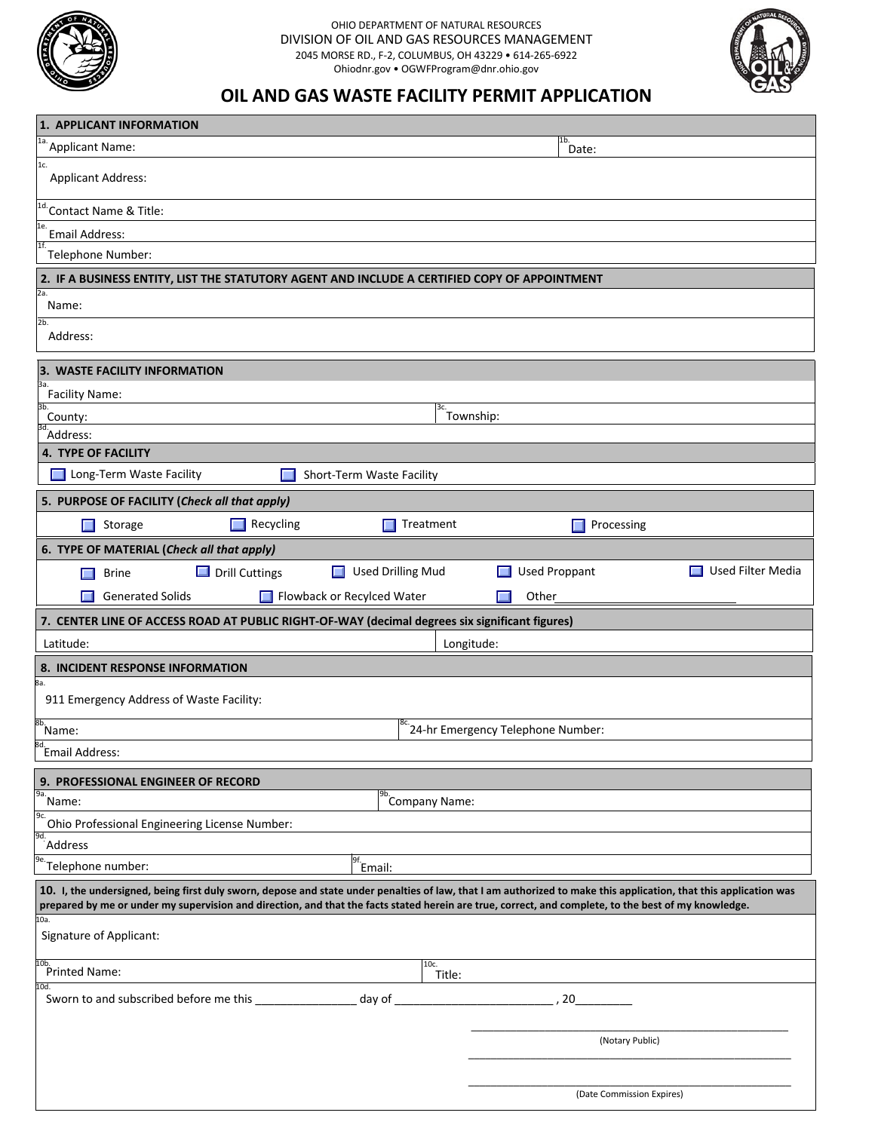

## OHIO DEPARTMENT OF NATURAL RESOURCES DIVISION OF OIL AND GAS RESOURCES MANAGEMENT 2045 MORSE RD., F-2, COLUMBUS, OH 43229 • 614-265-6922 Ohiodnr.gov • OGWFProgram@dnr.ohio.gov



## **OIL AND GAS WASTE FACILITY PERMIT APPLICATION**

| 1. APPLICANT INFORMATION                                                                                                                                          |                                                    |                           |  |  |
|-------------------------------------------------------------------------------------------------------------------------------------------------------------------|----------------------------------------------------|---------------------------|--|--|
| 1a.<br>Applicant Name:                                                                                                                                            |                                                    | 1 <sub>b</sub><br>Date:   |  |  |
| 1c.<br><b>Applicant Address:</b>                                                                                                                                  |                                                    |                           |  |  |
| <sup>1d.</sup> Contact Name & Title:                                                                                                                              |                                                    |                           |  |  |
| 1e.<br>Email Address:                                                                                                                                             |                                                    |                           |  |  |
| 1f.<br>Telephone Number:                                                                                                                                          |                                                    |                           |  |  |
| 2. IF A BUSINESS ENTITY, LIST THE STATUTORY AGENT AND INCLUDE A CERTIFIED COPY OF APPOINTMENT                                                                     |                                                    |                           |  |  |
| 2а.<br>Name:                                                                                                                                                      |                                                    |                           |  |  |
| 2b.<br>Address:                                                                                                                                                   |                                                    |                           |  |  |
| 3. WASTE FACILITY INFORMATION                                                                                                                                     |                                                    |                           |  |  |
| ва.<br><b>Facility Name:</b>                                                                                                                                      |                                                    |                           |  |  |
| 3b.<br>3с.<br>Township:<br>County:                                                                                                                                |                                                    |                           |  |  |
| <sup>3d.</sup> Address:                                                                                                                                           |                                                    |                           |  |  |
| <b>4. TYPE OF FACILITY</b>                                                                                                                                        |                                                    |                           |  |  |
| Long-Term Waste Facility<br>Short-Term Waste Facility                                                                                                             |                                                    |                           |  |  |
| 5. PURPOSE OF FACILITY (Check all that apply)                                                                                                                     |                                                    |                           |  |  |
| Recycling<br>Storage<br>$\Box$<br>ш                                                                                                                               | Treatment                                          | Processing                |  |  |
| 6. TYPE OF MATERIAL (Check all that apply)                                                                                                                        |                                                    |                           |  |  |
| $\Box$ Drill Cuttings<br><b>Brine</b>                                                                                                                             | Used Drilling Mud<br><b>Used Proppant</b>          | Used Filter Media         |  |  |
| Flowback or Recylced Water<br><b>Generated Solids</b>                                                                                                             | Other                                              |                           |  |  |
| 7. CENTER LINE OF ACCESS ROAD AT PUBLIC RIGHT-OF-WAY (decimal degrees six significant figures)                                                                    |                                                    |                           |  |  |
| Latitude:                                                                                                                                                         | Longitude:                                         |                           |  |  |
| 8. INCIDENT RESPONSE INFORMATION                                                                                                                                  |                                                    |                           |  |  |
| 8а.<br>911 Emergency Address of Waste Facility:                                                                                                                   |                                                    |                           |  |  |
| 8b.<br>Name:                                                                                                                                                      | i <sup>8c.</sup> 24-hr Emergency Telephone Number: |                           |  |  |
| 8d.<br>Email Address:                                                                                                                                             |                                                    |                           |  |  |
|                                                                                                                                                                   |                                                    |                           |  |  |
| 9. PROFESSIONAL ENGINEER OF RECORD<br>9а.                                                                                                                         |                                                    |                           |  |  |
| B <sub>D.</sub><br>Company Name:<br>Name:<br>9c.                                                                                                                  |                                                    |                           |  |  |
| Ohio Professional Engineering License Number:<br>9d.<br>Address                                                                                                   |                                                    |                           |  |  |
| 9e.<br>Telephone number:                                                                                                                                          | $\frac{9f}{2}$ Email:                              |                           |  |  |
| 10. I, the undersigned, being first duly sworn, depose and state under penalties of law, that I am authorized to make this application, that this application was |                                                    |                           |  |  |
| prepared by me or under my supervision and direction, and that the facts stated herein are true, correct, and complete, to the best of my knowledge.              |                                                    |                           |  |  |
| 10a.<br>Signature of Applicant:                                                                                                                                   |                                                    |                           |  |  |
| 10b.<br>Printed Name:                                                                                                                                             | 10c.<br>Title:                                     |                           |  |  |
| 10d.<br>Sworn to and subscribed before me this                                                                                                                    | day of                                             | 20                        |  |  |
|                                                                                                                                                                   |                                                    |                           |  |  |
|                                                                                                                                                                   |                                                    | (Notary Public)           |  |  |
|                                                                                                                                                                   |                                                    |                           |  |  |
|                                                                                                                                                                   |                                                    |                           |  |  |
|                                                                                                                                                                   |                                                    | (Date Commission Expires) |  |  |